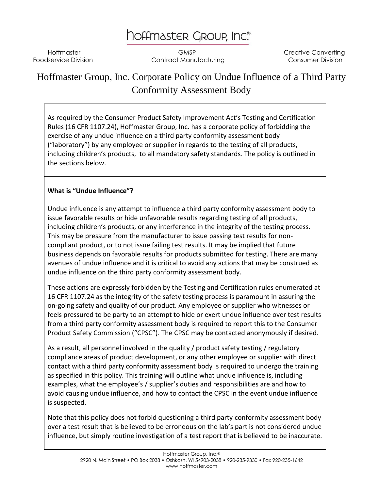# hoffmaster Group, Inc.

Hoffmaster **GMSP** CMSP Creative Converting Foodservice Division **Contract Manufacturing Consumer Division** Consumer Division

# Hoffmaster Group, Inc. Corporate Policy on Undue Influence of a Third Party Conformity Assessment Body

As required by the Consumer Product Safety Improvement Act's Testing and Certification Rules (16 CFR 1107.24), Hoffmaster Group, Inc. has a corporate policy of forbidding the exercise of any undue influence on a third party conformity assessment body ("laboratory") by any employee or supplier in regards to the testing of all products, including children's products, to all mandatory safety standards. The policy is outlined in the sections below.

## **What is "Undue Influence"?**

Undue influence is any attempt to influence a third party conformity assessment body to issue favorable results or hide unfavorable results regarding testing of all products, including children's products, or any interference in the integrity of the testing process. This may be pressure from the manufacturer to issue passing test results for noncompliant product, or to not issue failing test results. It may be implied that future business depends on favorable results for products submitted for testing. There are many avenues of undue influence and it is critical to avoid any actions that may be construed as undue influence on the third party conformity assessment body.

These actions are expressly forbidden by the Testing and Certification rules enumerated at 16 CFR 1107.24 as the integrity of the safety testing process is paramount in assuring the on-going safety and quality of our product. Any employee or supplier who witnesses or feels pressured to be party to an attempt to hide or exert undue influence over test results from a third party conformity assessment body is required to report this to the Consumer Product Safety Commission ("CPSC"). The CPSC may be contacted anonymously if desired.

As a result, all personnel involved in the quality / product safety testing / regulatory compliance areas of product development, or any other employee or supplier with direct contact with a third party conformity assessment body is required to undergo the training as specified in this policy. This training will outline what undue influence is, including examples, what the employee's / supplier's duties and responsibilities are and how to avoid causing undue influence, and how to contact the CPSC in the event undue influence is suspected.

Note that this policy does not forbid questioning a third party conformity assessment body over a test result that is believed to be erroneous on the lab's part is not considered undue influence, but simply routine investigation of a test report that is believed to be inaccurate.